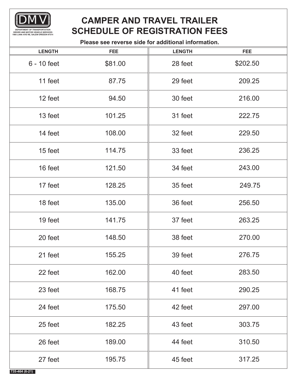

## **CAMPER AND TRAVEL TRAILER SCHEDULE OF REGISTRATION FEES**

Please see reverse side for additional information.

| <b>LENGTH</b> | <b>FEE</b> | <b>LENGTH</b> | <b>FEE</b> |
|---------------|------------|---------------|------------|
| 6 - 10 feet   | \$81.00    | 28 feet       | \$202.50   |
| 11 feet       | 87.75      | 29 feet       | 209.25     |
| 12 feet       | 94.50      | 30 feet       | 216.00     |
| 13 feet       | 101.25     | 31 feet       | 222.75     |
| 14 feet       | 108.00     | 32 feet       | 229.50     |
| 15 feet       | 114.75     | 33 feet       | 236.25     |
| 16 feet       | 121.50     | 34 feet       | 243.00     |
| 17 feet       | 128.25     | 35 feet       | 249.75     |
| 18 feet       | 135.00     | 36 feet       | 256.50     |
| 19 feet       | 141.75     | 37 feet       | 263.25     |
| 20 feet       | 148.50     | 38 feet       | 270.00     |
| 21 feet       | 155.25     | 39 feet       | 276.75     |
| 22 feet       | 162.00     | 40 feet       | 283.50     |
| 23 feet       | 168.75     | 41 feet       | 290.25     |
| 24 feet       | 175.50     | 42 feet       | 297.00     |
| 25 feet       | 182.25     | 43 feet       | 303.75     |
| 26 feet       | 189.00     | 44 feet       | 310.50     |
| 27 feet       | 195.75     | 45 feet       | 317.25     |